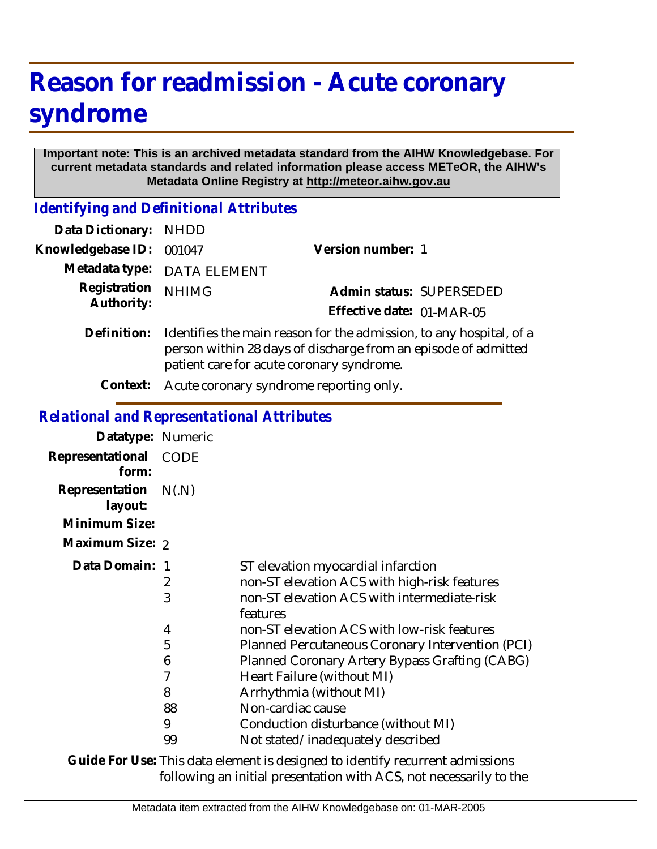## **Reason for readmission - Acute coronary syndrome**

## **Important note: This is an archived metadata standard from the AIHW Knowledgebase. For current metadata standards and related information please access METeOR, the AIHW's Metadata Online Registry at http://meteor.aihw.gov.au**

*Identifying and Definitional Attributes*

| Data Dictionary: NHDD      |                                                                                                                                                                                    |                           |                          |
|----------------------------|------------------------------------------------------------------------------------------------------------------------------------------------------------------------------------|---------------------------|--------------------------|
| Knowledgebase ID:          | 001047                                                                                                                                                                             | Version number: 1         |                          |
|                            | Metadata type: DATA ELEMENT                                                                                                                                                        |                           |                          |
| Registration<br>Authority: | <b>NHIMG</b>                                                                                                                                                                       |                           | Admin status: SUPERSEDED |
|                            |                                                                                                                                                                                    | Effective date: 01-MAR-05 |                          |
| Definition:                | Identifies the main reason for the admission, to any hospital, of a<br>person within 28 days of discharge from an episode of admitted<br>patient care for acute coronary syndrome. |                           |                          |

**Context:** Acute coronary syndrome reporting only.

## *Relational and Representational Attributes*

| Datatype: Numeric         |       |                                                         |
|---------------------------|-------|---------------------------------------------------------|
| Representational<br>form: | CODE  |                                                         |
| Representation<br>layout: | N(.N) |                                                         |
| Minimum Size:             |       |                                                         |
| Maximum Size: 2           |       |                                                         |
| Data Domain: 1            |       | ST elevation myocardial infarction                      |
|                           | 2     | non-ST elevation ACS with high-risk features            |
|                           | 3     | non-ST elevation ACS with intermediate-risk<br>features |
|                           | 4     | non-ST elevation ACS with low-risk features             |
|                           | 5     | Planned Percutaneous Coronary Intervention (PCI)        |
|                           | 6     | Planned Coronary Artery Bypass Grafting (CABG)          |
|                           | 7     | Heart Failure (without MI)                              |
|                           | 8     | Arrhythmia (without MI)                                 |
|                           | 88    | Non-cardiac cause                                       |
|                           | 9     | Conduction disturbance (without MI)                     |
|                           | 99    | Not stated/inadequately described                       |

Guide For Use: This data element is designed to identify recurrent admissions following an initial presentation with ACS, not necessarily to the